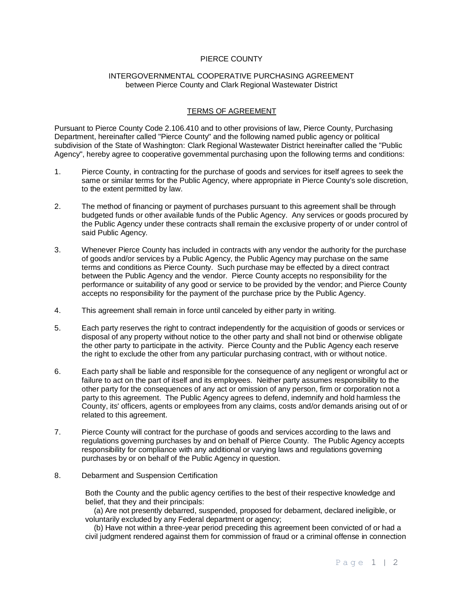## PIERCE COUNTY

## INTERGOVERNMENTAL COOPERATIVE PURCHASING AGREEMENT between Pierce County and Clark Regional Wastewater District

## TERMS OF AGREEMENT

Pursuant to Pierce County Code 2.106.410 and to other provisions of law, Pierce County, Purchasing Department, hereinafter called "Pierce County" and the following named public agency or political subdivision of the State of Washington: Clark Regional Wastewater District hereinafter called the "Public Agency", hereby agree to cooperative governmental purchasing upon the following terms and conditions:

- 1. Pierce County, in contracting for the purchase of goods and services for itself agrees to seek the same or similar terms for the Public Agency, where appropriate in Pierce County's sole discretion, to the extent permitted by law.
- 2. The method of financing or payment of purchases pursuant to this agreement shall be through budgeted funds or other available funds of the Public Agency. Any services or goods procured by the Public Agency under these contracts shall remain the exclusive property of or under control of said Public Agency.
- 3. Whenever Pierce County has included in contracts with any vendor the authority for the purchase of goods and/or services by a Public Agency, the Public Agency may purchase on the same terms and conditions as Pierce County. Such purchase may be effected by a direct contract between the Public Agency and the vendor. Pierce County accepts no responsibility for the performance or suitability of any good or service to be provided by the vendor; and Pierce County accepts no responsibility for the payment of the purchase price by the Public Agency.
- 4. This agreement shall remain in force until canceled by either party in writing.
- 5. Each party reserves the right to contract independently for the acquisition of goods or services or disposal of any property without notice to the other party and shall not bind or otherwise obligate the other party to participate in the activity. Pierce County and the Public Agency each reserve the right to exclude the other from any particular purchasing contract, with or without notice.
- 6. Each party shall be liable and responsible for the consequence of any negligent or wrongful act or failure to act on the part of itself and its employees. Neither party assumes responsibility to the other party for the consequences of any act or omission of any person, firm or corporation not a party to this agreement. The Public Agency agrees to defend, indemnify and hold harmless the County, its' officers, agents or employees from any claims, costs and/or demands arising out of or related to this agreement.
- 7. Pierce County will contract for the purchase of goods and services according to the laws and regulations governing purchases by and on behalf of Pierce County. The Public Agency accepts responsibility for compliance with any additional or varying laws and regulations governing purchases by or on behalf of the Public Agency in question.
- 8. Debarment and Suspension Certification

Both the County and the public agency certifies to the best of their respective knowledge and belief, that they and their principals:

 (a) Are not presently debarred, suspended, proposed for debarment, declared ineligible, or voluntarily excluded by any Federal department or agency;

 (b) Have not within a three-year period preceding this agreement been convicted of or had a civil judgment rendered against them for commission of fraud or a criminal offense in connection